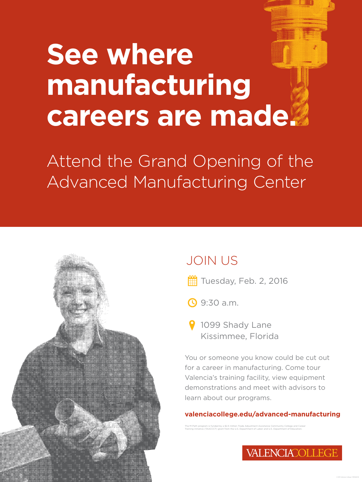You or someone you know could be cut out for a career in manufacturing. Come tour Valencia's training facility, view equipment demonstrations and meet with advisors to learn about our programs.

The M-Path program is funded by a \$2.5 million Trade Adjustment Assistance Community College and Career Training initiative (TAACCCT) grant from the U.S. Department of Labor and U.S. Department of Education.



1099 Shady Lane Kissimmee, Florida

## **See where manufacturing careers are made.**

#### **valenciacollege.edu/advanced-manufacturing**

## JOIN US

**Tuesday, Feb. 2, 2016** 

**9**:30 a.m.

Attend the Grand Opening of the Advanced Manufacturing Center